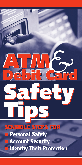# **ATM***&* **Debit Card Debit Card Debit Card**

## **Safety Tips Safety Tips**

**SENSIBLE STEPS FOR SENSIBLE STEPS FOR** ■ **Personal Safety Account Security Identity Theft Protection**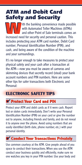### **ATM and Debit Card Safety and Security**

with the banking convenience made possible<br>with Automated Teller Machines (ATMs)<br>and other Point of Sale terminals comes an<br>increased need for security and personal caution. This with Automated Teller Machines (ATMs) and other Point of Sale terminals comes an increased need for security and personal caution. This includes protecting your ATM card number, Debit Card number, Personal Identification Number (PIN), and cash, and being aware of the condition of the machine and your surroundings.

It's no longer enough to take measures to protect your physical safety and your cash after a transaction at the ATM—now you must be aware of cameras and skimming devices that secretly record (steal) your bank account numbers and PIN numbers. Here are some other tips for safer transactions both Electronic and Personal:

#### **ELECTRONIC SAFETY TIPS**

#### **Protect Your Card and PIN**

Protect your ATM and debit cards as if it were cash. Report lost or stolen cards immediately. Don't write your Personal Identification Number (PIN) on your card or give the number out to anyone, including friends and family, and do not reveal it to anyone over the phone. Avoid using numbers that are easily identified (birth date, phone number, etc.) with your personal identity.

#### *Let* **Conduct Your Transactions Privately**

Use common courtesy at the ATM. Give people ahead of you space to conduct their transactions.When you use the ATM conduct your business quickly and efficiently, make sure no one watches you key in your PIN number. Use your body and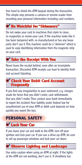free hand to shield the ATM keypad during the transaction. This simple step prevents a camera or remote reader from recording your personal information including card numbers.

#### ■ ✔ **Be Watchful for "Skimmers" Be for "Skimmers"**

Do not swipe your card in machines that claim to clean, re-magnetize or renew your card. If the machine looks like it has been tampered with, re-manufactured or has any loose parts don't use it.This machine could be a "skimmer" which is used to copy identifying information from the magnetic strip on your card.

#### ■ ✔ **Take the Receipt With You**

Never leave the receipt behind, even after an incomplete transaction. Discarded ATM receipts can lead to identity theft and account hijacking.

#### *E* Check Your Debit Card Account Frequently **Frequently**

If you find any irregularities in your statement, e.g. charges made for items that you didn't order, cash withdrawals that you didn't make.Then contact your bank immediately to report the incident.Your liability under federal law for unauthorized use of your ATM or debit card depends on how quickly you report the loss.

#### **PERSONAL SAFETY**

#### **Lock Your Car** ■ ✔ **Lock Your Car**

If you leave your car and walk to the ATM, turn off your ignition and lock your car. If you use a drive-up ATM, be sure to roll up passenger windows and lock your car doors.

#### $\overline{\phantom{a}}$ **Observe Lighting and Landscape**

Use extra caution when using an ATM at night. If the lights at the ATM are not working, don't use it. If shrubbery has